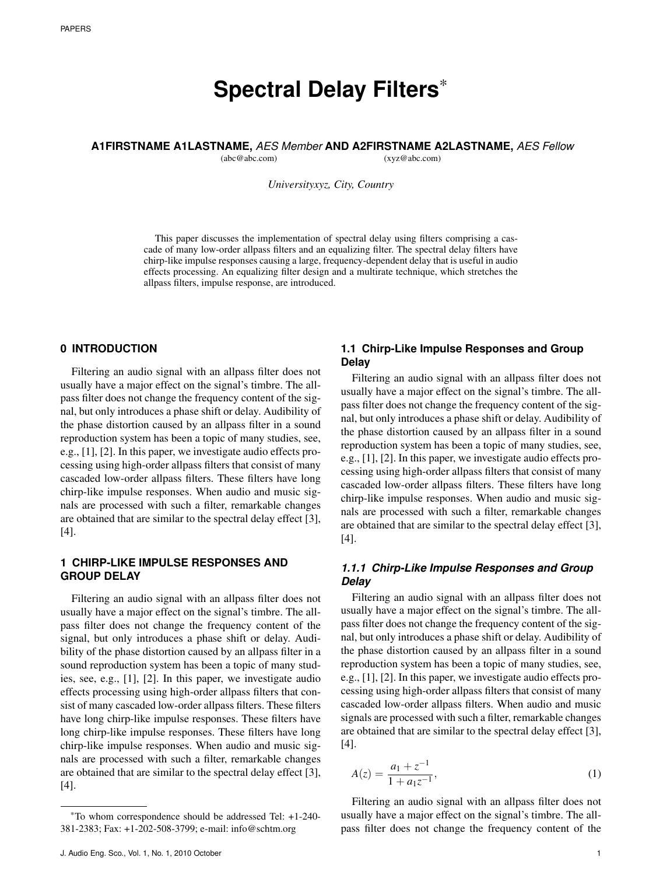# **Spectral Delay Filters**\*

**A1FIRSTNAME A1LASTNAME,** *AES Member* **AND A2FIRSTNAME A2LASTNAME,** *AES Fellow*

(abc@abc.com) (xyz@abc.com)

*Universityxyz, City, Country*

This paper discusses the implementation of spectral delay using filters comprising a cascade of many low-order allpass filters and an equalizing filter. The spectral delay filters have chirp-like impulse responses causing a large, frequency-dependent delay that is useful in audio effects processing. An equalizing filter design and a multirate technique, which stretches the allpass filters, impulse response, are introduced.

# **0 INTRODUCTION**

Filtering an audio signal with an allpass filter does not usually have a major effect on the signal's timbre. The allpass filter does not change the frequency content of the signal, but only introduces a phase shift or delay. Audibility of the phase distortion caused by an allpass filter in a sound reproduction system has been a topic of many studies, see, e.g., [1], [2]. In this paper, we investigate audio effects processing using high-order allpass filters that consist of many cascaded low-order allpass filters. These filters have long chirp-like impulse responses. When audio and music signals are processed with such a filter, remarkable changes are obtained that are similar to the spectral delay effect [3], [4].

# **1 CHIRP-LIKE IMPULSE RESPONSES AND GROUP DELAY**

Filtering an audio signal with an allpass filter does not usually have a major effect on the signal's timbre. The allpass filter does not change the frequency content of the signal, but only introduces a phase shift or delay. Audibility of the phase distortion caused by an allpass filter in a sound reproduction system has been a topic of many studies, see, e.g., [1], [2]. In this paper, we investigate audio effects processing using high-order allpass filters that consist of many cascaded low-order allpass filters. These filters have long chirp-like impulse responses. These filters have long chirp-like impulse responses. These filters have long chirp-like impulse responses. When audio and music signals are processed with such a filter, remarkable changes are obtained that are similar to the spectral delay effect [3], [4].

## **1.1 Chirp-Like Impulse Responses and Group Delay**

Filtering an audio signal with an allpass filter does not usually have a major effect on the signal's timbre. The allpass filter does not change the frequency content of the signal, but only introduces a phase shift or delay. Audibility of the phase distortion caused by an allpass filter in a sound reproduction system has been a topic of many studies, see, e.g., [1], [2]. In this paper, we investigate audio effects processing using high-order allpass filters that consist of many cascaded low-order allpass filters. These filters have long chirp-like impulse responses. When audio and music signals are processed with such a filter, remarkable changes are obtained that are similar to the spectral delay effect [3], [4].

# *1.1.1 Chirp-Like Impulse Responses and Group Delay*

Filtering an audio signal with an allpass filter does not usually have a major effect on the signal's timbre. The allpass filter does not change the frequency content of the signal, but only introduces a phase shift or delay. Audibility of the phase distortion caused by an allpass filter in a sound reproduction system has been a topic of many studies, see, e.g., [1], [2]. In this paper, we investigate audio effects processing using high-order allpass filters that consist of many cascaded low-order allpass filters. When audio and music signals are processed with such a filter, remarkable changes are obtained that are similar to the spectral delay effect [3], [4].

$$
A(z) = \frac{a_1 + z^{-1}}{1 + a_1 z^{-1}},
$$
\n(1)

Filtering an audio signal with an allpass filter does not usually have a major effect on the signal's timbre. The allpass filter does not change the frequency content of the

<sup>\*</sup>To whom correspondence should be addressed Tel: +1-240- 381-2383; Fax: +1-202-508-3799; e-mail: info@schtm.org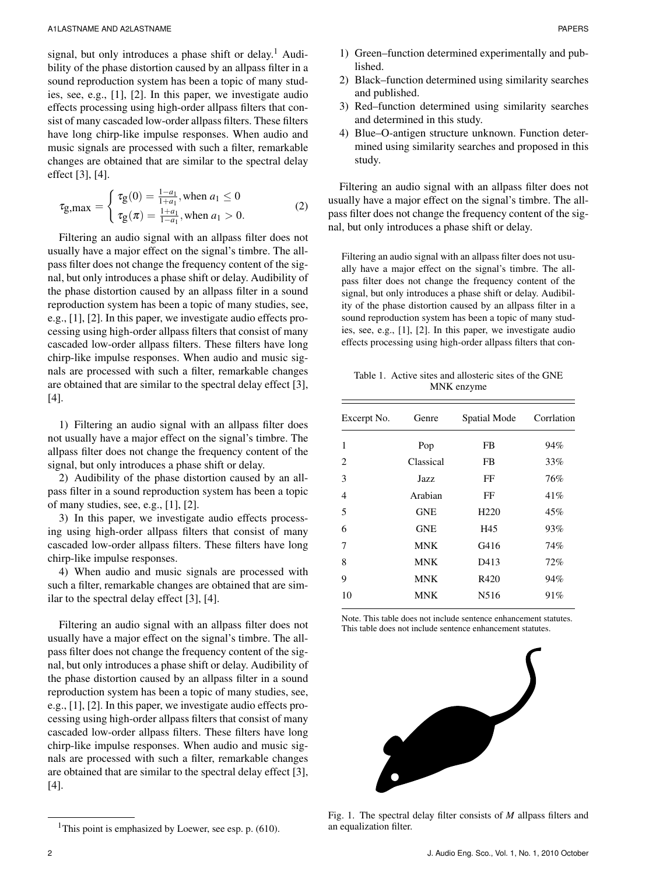signal, but only introduces a phase shift or delay.<sup>1</sup> Audibility of the phase distortion caused by an allpass filter in a sound reproduction system has been a topic of many studies, see, e.g., [1], [2]. In this paper, we investigate audio effects processing using high-order allpass filters that consist of many cascaded low-order allpass filters. These filters have long chirp-like impulse responses. When audio and music signals are processed with such a filter, remarkable changes are obtained that are similar to the spectral delay effect [3], [4].

$$
\tau_{g,max} = \begin{cases} \tau_g(0) = \frac{1 - a_1}{1 + a_1}, \text{when } a_1 \le 0\\ \tau_g(\pi) = \frac{1 + a_1}{1 - a_1}, \text{when } a_1 > 0. \end{cases}
$$
 (2)

Filtering an audio signal with an allpass filter does not usually have a major effect on the signal's timbre. The allpass filter does not change the frequency content of the signal, but only introduces a phase shift or delay. Audibility of the phase distortion caused by an allpass filter in a sound reproduction system has been a topic of many studies, see, e.g., [1], [2]. In this paper, we investigate audio effects processing using high-order allpass filters that consist of many cascaded low-order allpass filters. These filters have long chirp-like impulse responses. When audio and music signals are processed with such a filter, remarkable changes are obtained that are similar to the spectral delay effect [3], [4].

1) Filtering an audio signal with an allpass filter does not usually have a major effect on the signal's timbre. The allpass filter does not change the frequency content of the signal, but only introduces a phase shift or delay.

2) Audibility of the phase distortion caused by an allpass filter in a sound reproduction system has been a topic of many studies, see, e.g., [1], [2].

3) In this paper, we investigate audio effects processing using high-order allpass filters that consist of many cascaded low-order allpass filters. These filters have long chirp-like impulse responses.

4) When audio and music signals are processed with such a filter, remarkable changes are obtained that are similar to the spectral delay effect [3], [4].

Filtering an audio signal with an allpass filter does not usually have a major effect on the signal's timbre. The allpass filter does not change the frequency content of the signal, but only introduces a phase shift or delay. Audibility of the phase distortion caused by an allpass filter in a sound reproduction system has been a topic of many studies, see, e.g., [1], [2]. In this paper, we investigate audio effects processing using high-order allpass filters that consist of many cascaded low-order allpass filters. These filters have long chirp-like impulse responses. When audio and music signals are processed with such a filter, remarkable changes are obtained that are similar to the spectral delay effect [3], [4].

- 1) Green–function determined experimentally and published.
- 2) Black–function determined using similarity searches and published.
- 3) Red–function determined using similarity searches and determined in this study.
- 4) Blue–O-antigen structure unknown. Function determined using similarity searches and proposed in this study.

Filtering an audio signal with an allpass filter does not usually have a major effect on the signal's timbre. The allpass filter does not change the frequency content of the signal, but only introduces a phase shift or delay.

Filtering an audio signal with an allpass filter does not usually have a major effect on the signal's timbre. The allpass filter does not change the frequency content of the signal, but only introduces a phase shift or delay. Audibility of the phase distortion caused by an allpass filter in a sound reproduction system has been a topic of many studies, see, e.g., [1], [2]. In this paper, we investigate audio effects processing using high-order allpass filters that con-

Table 1. Active sites and allosteric sites of the GNE MNK enzyme

| Excerpt No. | Genre      | Spatial Mode     | Corrlation |
|-------------|------------|------------------|------------|
| 1           | Pop        | FB               | 94%        |
| 2           | Classical  | FB               | 33%        |
| 3           | Jazz       | FF               | 76%        |
| 4           | Arabian    | FF               | 41%        |
| 5           | <b>GNE</b> | H <sub>220</sub> | 45%        |
| 6           | <b>GNE</b> | H45              | 93%        |
| 7           | <b>MNK</b> | G416             | 74%        |
| 8           | <b>MNK</b> | D413             | 72%        |
| 9           | <b>MNK</b> | R420             | 94%        |
| 10          | <b>MNK</b> | N516             | 91%        |
|             |            |                  |            |

Note. This table does not include sentence enhancement statutes. This table does not include sentence enhancement statutes.



Fig. 1. The spectral delay filter consists of *M* allpass filters and an equalization filter.

<sup>&</sup>lt;sup>1</sup>This point is emphasized by Loewer, see esp. p.  $(610)$ .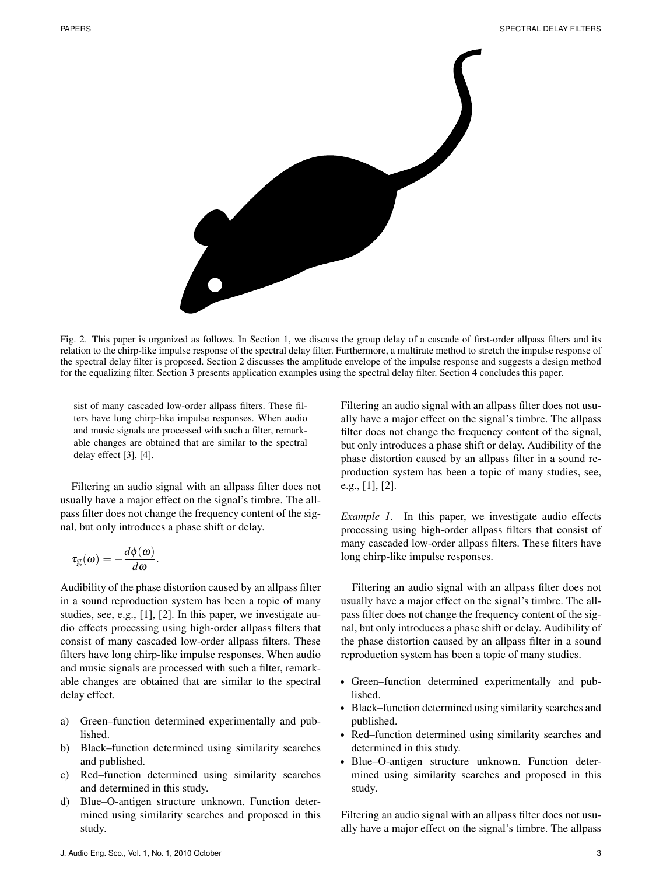

Fig. 2. This paper is organized as follows. In Section 1, we discuss the group delay of a cascade of first-order allpass filters and its relation to the chirp-like impulse response of the spectral delay filter. Furthermore, a multirate method to stretch the impulse response of the spectral delay filter is proposed. Section 2 discusses the amplitude envelope of the impulse response and suggests a design method for the equalizing filter. Section 3 presents application examples using the spectral delay filter. Section 4 concludes this paper.

sist of many cascaded low-order allpass filters. These filters have long chirp-like impulse responses. When audio and music signals are processed with such a filter, remarkable changes are obtained that are similar to the spectral delay effect [3], [4].

Filtering an audio signal with an allpass filter does not usually have a major effect on the signal's timbre. The allpass filter does not change the frequency content of the signal, but only introduces a phase shift or delay.

$$
\tau_{g}(\omega)=-\frac{d\phi(\omega)}{d\omega}.
$$

Audibility of the phase distortion caused by an allpass filter in a sound reproduction system has been a topic of many studies, see, e.g., [1], [2]. In this paper, we investigate audio effects processing using high-order allpass filters that consist of many cascaded low-order allpass filters. These filters have long chirp-like impulse responses. When audio and music signals are processed with such a filter, remarkable changes are obtained that are similar to the spectral delay effect.

- a) Green–function determined experimentally and published.
- b) Black–function determined using similarity searches and published.
- c) Red–function determined using similarity searches and determined in this study.
- d) Blue–O-antigen structure unknown. Function determined using similarity searches and proposed in this study.

Filtering an audio signal with an allpass filter does not usually have a major effect on the signal's timbre. The allpass filter does not change the frequency content of the signal, but only introduces a phase shift or delay. Audibility of the phase distortion caused by an allpass filter in a sound reproduction system has been a topic of many studies, see, e.g., [1], [2].

*Example 1.* In this paper, we investigate audio effects processing using high-order allpass filters that consist of many cascaded low-order allpass filters. These filters have long chirp-like impulse responses.

Filtering an audio signal with an allpass filter does not usually have a major effect on the signal's timbre. The allpass filter does not change the frequency content of the signal, but only introduces a phase shift or delay. Audibility of the phase distortion caused by an allpass filter in a sound reproduction system has been a topic of many studies.

- Green–function determined experimentally and published.
- Black–function determined using similarity searches and published.
- Red–function determined using similarity searches and determined in this study.
- Blue–O-antigen structure unknown. Function determined using similarity searches and proposed in this study.

Filtering an audio signal with an allpass filter does not usually have a major effect on the signal's timbre. The allpass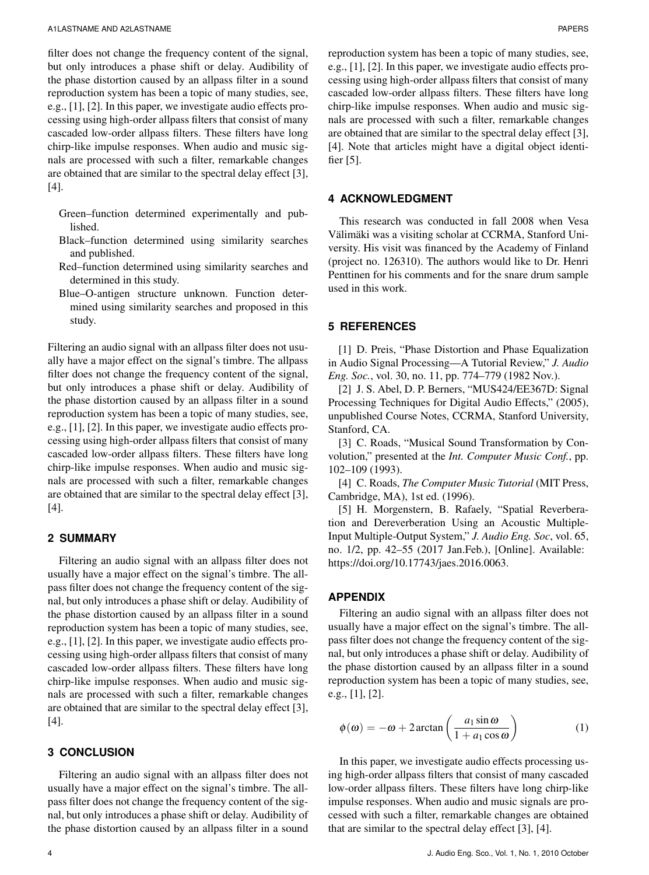filter does not change the frequency content of the signal, but only introduces a phase shift or delay. Audibility of the phase distortion caused by an allpass filter in a sound reproduction system has been a topic of many studies, see, e.g., [1], [2]. In this paper, we investigate audio effects processing using high-order allpass filters that consist of many cascaded low-order allpass filters. These filters have long chirp-like impulse responses. When audio and music signals are processed with such a filter, remarkable changes are obtained that are similar to the spectral delay effect [3], [4].

- Green–function determined experimentally and published.
- Black–function determined using similarity searches and published.
- Red–function determined using similarity searches and determined in this study.
- Blue–O-antigen structure unknown. Function determined using similarity searches and proposed in this study.

Filtering an audio signal with an allpass filter does not usually have a major effect on the signal's timbre. The allpass filter does not change the frequency content of the signal, but only introduces a phase shift or delay. Audibility of the phase distortion caused by an allpass filter in a sound reproduction system has been a topic of many studies, see, e.g., [1], [2]. In this paper, we investigate audio effects processing using high-order allpass filters that consist of many cascaded low-order allpass filters. These filters have long chirp-like impulse responses. When audio and music signals are processed with such a filter, remarkable changes are obtained that are similar to the spectral delay effect [3], [4].

## **2 SUMMARY**

Filtering an audio signal with an allpass filter does not usually have a major effect on the signal's timbre. The allpass filter does not change the frequency content of the signal, but only introduces a phase shift or delay. Audibility of the phase distortion caused by an allpass filter in a sound reproduction system has been a topic of many studies, see, e.g., [1], [2]. In this paper, we investigate audio effects processing using high-order allpass filters that consist of many cascaded low-order allpass filters. These filters have long chirp-like impulse responses. When audio and music signals are processed with such a filter, remarkable changes are obtained that are similar to the spectral delay effect [3], [4].

#### **3 CONCLUSION**

Filtering an audio signal with an allpass filter does not usually have a major effect on the signal's timbre. The allpass filter does not change the frequency content of the signal, but only introduces a phase shift or delay. Audibility of the phase distortion caused by an allpass filter in a sound reproduction system has been a topic of many studies, see, e.g., [1], [2]. In this paper, we investigate audio effects processing using high-order allpass filters that consist of many cascaded low-order allpass filters. These filters have long chirp-like impulse responses. When audio and music signals are processed with such a filter, remarkable changes are obtained that are similar to the spectral delay effect [3], [4]. Note that articles might have a digital object identifier [5].

## **4 ACKNOWLEDGMENT**

This research was conducted in fall 2008 when Vesa Välimäki was a visiting scholar at CCRMA, Stanford University. His visit was financed by the Academy of Finland (project no. 126310). The authors would like to Dr. Henri Penttinen for his comments and for the snare drum sample used in this work.

# **5 REFERENCES**

[1] D. Preis, "Phase Distortion and Phase Equalization in Audio Signal Processing—A Tutorial Review," *J. Audio Eng. Soc.*, vol. 30, no. 11, pp. 774–779 (1982 Nov.).

[2] J. S. Abel, D. P. Berners, "MUS424/EE367D: Signal Processing Techniques for Digital Audio Effects," (2005), unpublished Course Notes, CCRMA, Stanford University, Stanford, CA.

[3] C. Roads, "Musical Sound Transformation by Convolution," presented at the *Int. Computer Music Conf.*, pp. 102–109 (1993).

[4] C. Roads, *The Computer Music Tutorial* (MIT Press, Cambridge, MA), 1st ed. (1996).

[5] H. Morgenstern, B. Rafaely, "Spatial Reverberation and Dereverberation Using an Acoustic Multiple-Input Multiple-Output System," *J. Audio Eng. Soc*, vol. 65, no. 1/2, pp. 42–55 (2017 Jan.Feb.), [Online]. Available: https://doi.org/10.17743/jaes.2016.0063.

## **APPENDIX**

Filtering an audio signal with an allpass filter does not usually have a major effect on the signal's timbre. The allpass filter does not change the frequency content of the signal, but only introduces a phase shift or delay. Audibility of the phase distortion caused by an allpass filter in a sound reproduction system has been a topic of many studies, see, e.g., [1], [2].

$$
\phi(\omega) = -\omega + 2\arctan\left(\frac{a_1 \sin \omega}{1 + a_1 \cos \omega}\right) \tag{1}
$$

In this paper, we investigate audio effects processing using high-order allpass filters that consist of many cascaded low-order allpass filters. These filters have long chirp-like impulse responses. When audio and music signals are processed with such a filter, remarkable changes are obtained that are similar to the spectral delay effect [3], [4].